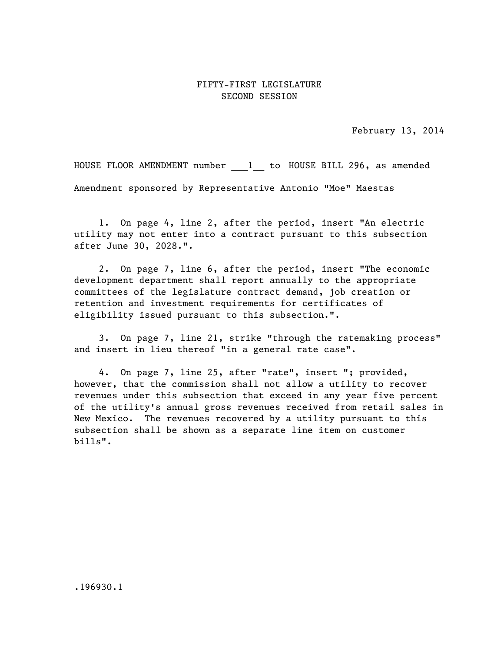## FIFTY-FIRST LEGISLATURE SECOND SESSION

February 13, 2014

HOUSE FLOOR AMENDMENT number 1 to HOUSE BILL 296, as amended Amendment sponsored by Representative Antonio "Moe" Maestas

1. On page 4, line 2, after the period, insert "An electric utility may not enter into a contract pursuant to this subsection after June 30, 2028.".

2. On page 7, line 6, after the period, insert "The economic development department shall report annually to the appropriate committees of the legislature contract demand, job creation or retention and investment requirements for certificates of eligibility issued pursuant to this subsection.".

3. On page 7, line 21, strike "through the ratemaking process" and insert in lieu thereof "in a general rate case".

4. On page 7, line 25, after "rate", insert "; provided, however, that the commission shall not allow a utility to recover revenues under this subsection that exceed in any year five percent of the utility's annual gross revenues received from retail sales in New Mexico. The revenues recovered by a utility pursuant to this subsection shall be shown as a separate line item on customer bills".